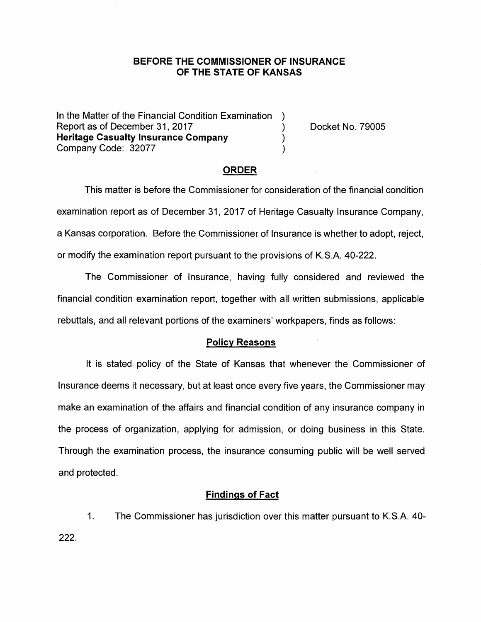## **BEFORE THE COMMISSIONER OF INSURANCE OF THE STATE OF KANSAS**

In the Matter of the Financial Condition Examination Report as of December 31, 2017 (and the control of the Docket No. 79005) **Heritage Casualty Insurance Company** ) Company Code: 32077 )

### **ORDER**

This matter is before the Commissioner for consideration of the financial condition examination report as of December 31, 2017 of Heritage Casualty Insurance Company, a Kansas corporation. Before the Commissioner of Insurance is whether to adopt, reject, or modify the examination report pursuant to the provisions of K.S.A. 40-222.

The Commissioner of Insurance, having fully considered and reviewed the financial condition examination report, together with all written submissions, applicable rebuttals, and all relevant portions of the examiners' workpapers, finds as follows:

### **Policy Reasons**

It is stated policy of the State of Kansas that whenever the Commissioner of Insurance deems it necessary, but at least once every five years, the Commissioner may make an examination of the affairs and financial condition of any insurance company in the process of organization, applying for admission, or doing business in this State. Through the examination process, the insurance consuming public will be well served and protected.

## **Findings of Fact**

1. The Commissioner has jurisdiction over this matter pursuant to K.S.A. 40- 222.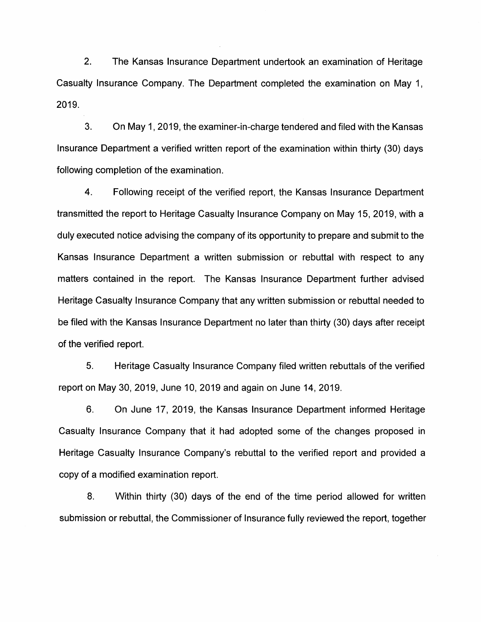2. The Kansas Insurance Department undertook an examination of Heritage Casualty Insurance Company. The Department completed the examination on May 1, 2019.

3. On May 1, 2019, the examiner-in-charge tendered and filed with the Kansas Insurance Department a verified written report of the examination within thirty (30) days following completion of the examination.

4. Following receipt of the verified report, the Kansas Insurance Department transmitted the report to Heritage Casualty Insurance Company on May 15, 2019, with a duly executed notice advising the company of its opportunity to prepare and submit to the Kansas Insurance Department a written submission or rebuttal with respect to any matters contained in the report. The Kansas Insurance Department further advised Heritage Casualty Insurance Company that any written submission or rebuttal needed to be filed with the Kansas Insurance Department no later than thirty (30) days after receipt of the verified report.

5. Heritage Casualty Insurance Company filed written rebuttals of the verified report on May 30, 2019, June 10, 2019 and again on June 14, 2019.

6. On June 17, 2019, the Kansas Insurance Department informed Heritage Casualty Insurance Company that it had adopted some of the changes proposed in Heritage Casualty Insurance Company's rebuttal to the verified report and provided a copy of a modified examination report.

8. Within thirty (30) days of the end of the time period allowed for written submission or rebuttal, the Commissioner of Insurance fully reviewed the report, together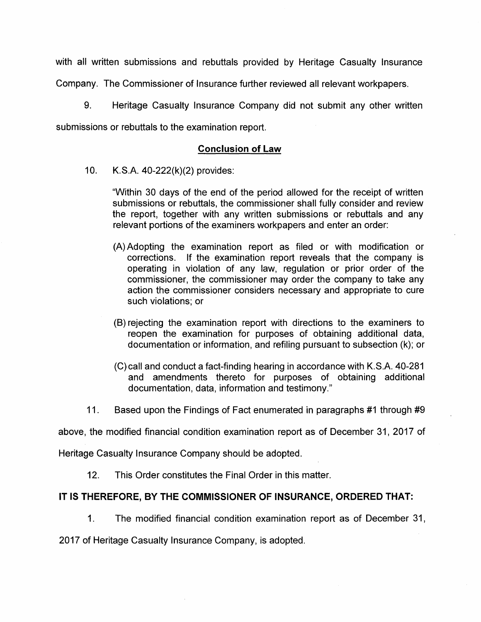with all written submissions and rebuttals provided by Heritage Casualty Insurance Company. The Commissioner of Insurance further reviewed all relevant workpapers.

9. Heritage Casualty Insurance Company did not submit any other written

submissions or rebuttals to the examination report.

# **Conclusion of Law**

10. K.S.A. 40-222(k)(2) provides:

"Within 30 days of the end of the period allowed for the receipt of written submissions or rebuttals, the commissioner shall fully consider and review the report, together with any written submissions or rebuttals and any relevant portions of the examiners workpapers and enter an order:

- (A) Adopting the examination report as filed or with modification or corrections. If the examination report reveals that the company is operating in violation of any law, regulation or prior order of the commissioner, the commissioner may order the company to take any action the commissioner considers necessary and appropriate to cure such violations; or
- (B) rejecting the examination report with directions to the examiners to reopen the examination for purposes of obtaining additional data, documentation or information, and refiling pursuant to subsection (k); or
- (C) call and conduct a fact-finding hearing in accordance with K.S.A. 40-281 and amendments thereto for purposes of obtaining additional documentation, data, information and testimony."
- 11. Based upon the Findings of Fact enumerated in paragraphs #1 through #9

above, the modified financial condition examination report as of December 31, 2017 of

Heritage Casualty Insurance Company should be adopted.

12. This Order constitutes the Final Order in this matter.

# **IT IS THEREFORE, BY THE COMMISSIONER OF INSURANCE, ORDERED THAT:**

1. The modified financial condition examination report as of December 31,

2017 of Heritage Casualty Insurance Company, is adopted.